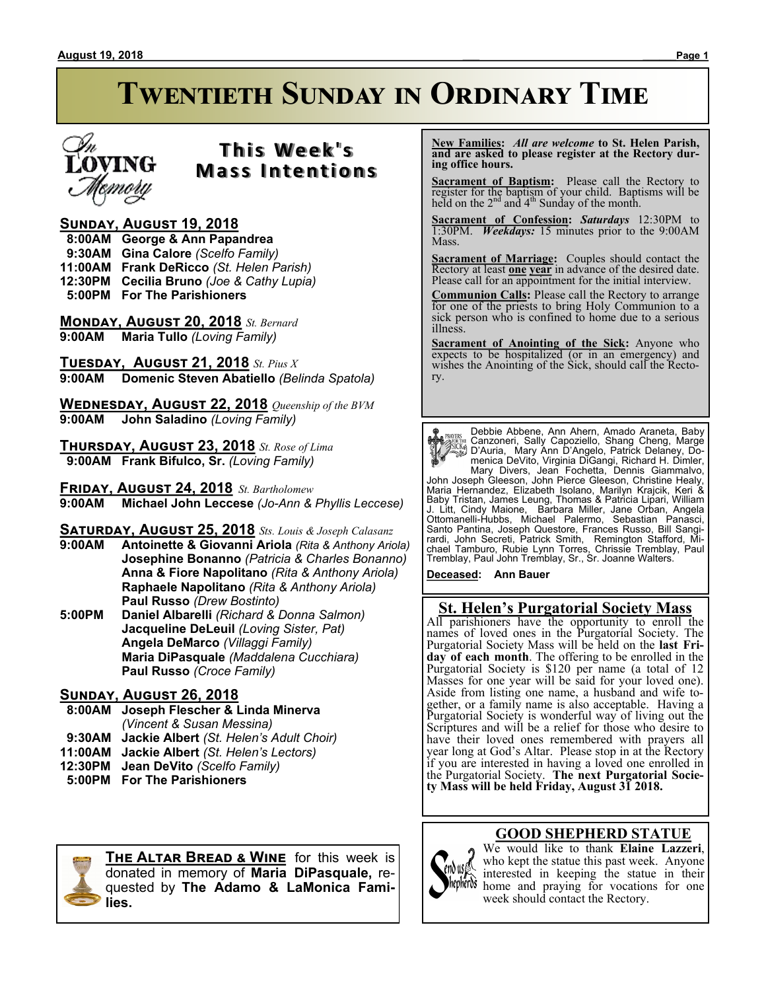

# **T h i s We e k ' s Mass Intentions**

#### **Sunday, August 19, 2018**

- **8:00AM George & Ann Papandrea**
- **9:30AM Gina Calore** *(Scelfo Family)*
- **11:00AM Frank DeRicco** *(St. Helen Parish)*
- **12:30PM Cecilia Bruno** *(Joe & Cathy Lupia)*
- **5:00PM For The Parishioners**

**Monday, August 20, 2018** *St. Bernard* **9:00AM Maria Tullo** *(Loving Family)*

**Tuesday, August 21, 2018** *St. Pius X* **9:00AM Domenic Steven Abatiello** *(Belinda Spatola)*

**Wednesday, August 22, 2018** *Queenship of the BVM* **9:00AM John Saladino** *(Loving Family)*

**Thursday, August 23, 2018** *St. Rose of Lima*  **9:00AM Frank Bifulco, Sr.** *(Loving Family)*

**Friday, August 24, 2018** *St. Bartholomew* **9:00AM Michael John Leccese** *(Jo-Ann & Phyllis Leccese)*

**Saturday, August 25, 2018** *Sts. Louis & Joseph Calasanz*

- **9:00AM Antoinette & Giovanni Ariola** *(Rita & Anthony Ariola)* **Josephine Bonanno** *(Patricia & Charles Bonanno)* **Anna & Fiore Napolitano** *(Rita & Anthony Ariola)* **Raphaele Napolitano** *(Rita & Anthony Ariola)* **Paul Russo** *(Drew Bostinto)*
- **5:00PM Daniel Albarelli** *(Richard & Donna Salmon)* **Jacqueline DeLeuil** *(Loving Sister, Pat)* **Angela DeMarco** *(Villaggi Family)* **Maria DiPasquale** *(Maddalena Cucchiara)* **Paul Russo** *(Croce Family)*

#### **Sunday, August 26, 2018**

- **8:00AM Joseph Flescher & Linda Minerva** *(Vincent & Susan Messina)*  **9:30AM Jackie Albert** *(St. Helen's Adult Choir)* **11:00AM Jackie Albert** *(St. Helen's Lectors)*
- **12:30PM Jean DeVito** *(Scelfo Family)*
- **5:00PM For The Parishioners**



**The Altar Bread & Wine** for this week is donated in memory of **Maria DiPasquale,** requested by **The Adamo & LaMonica Families.**

 **New Families:** *All are welcome* **to St. Helen Parish, and are asked to please register at the Rectory during office hours.**

**Sacrament of Baptism:** Please call the Rectory to register for the baptism of your child. Baptisms will be held on the  $2<sup>nd</sup>$  and  $4<sup>th</sup>$  Sunday of the month.

**Sacrament of Confession:** *Saturdays* 12:30PM to 1:30PM. *Weekdays:* 15 minutes prior to the 9:00AM Mass.

**Sacrament of Marriage:**Couples should contact the Rectory at least **one year** in advance of the desired date. Please call for an appointment for the initial interview.

**Communion Calls:** Please call the Rectory to arrange for one of the priests to bring Holy Communion to a sick person who is confined to home due to a serious illness.

**Sacrament of Anointing of the Sick:** Anyone who expects to be hospitalized (or in an emergency) and wishes the Anointing of the Sick, should call the Rectory.

**Payris:** Debbie Abbene, Ann Ahern, Amado Araneta, Baby<br>
Canzoneri, Sally Capzziello, Shang Cheng, Marge<br>
Canzoneri, Sally Capzziello, Shang Cheng, Marge<br>
Canzoneri, Sally Capacillo, Patrick Delaney, Do-<br>
menica DeVito, Vi

**Deceased: Ann Bauer**

#### **St. Helen's Purgatorial Society Mass**

All parishioners have the opportunity to enroll the names of loved ones in the Purgatorial Society. The Purgatorial Society Mass will be held on the **last Friday of each month**. The offering to be enrolled in the Purgatorial Society is \$120 per name (a total of 12 Masses for one year will be said for your loved one). Aside from listing one name, a husband and wife together, or a family name is also acceptable. Having a Purgatorial Society is wonderful way of living out the Scriptures and will be a relief for those who desire to have their loved ones remembered with prayers all year long at God's Altar. Please stop in at the Rectory if you are interested in having a loved one enrolled in the Purgatorial Society. **The next Purgatorial Society Mass will be held Friday, August 31 2018.**

#### **GOOD SHEPHERD STATUE**



We would like to thank **Elaine Lazzeri**, who kept the statue this past week. Anyone interested in keeping the statue in their thepheros home and praying for vocations for one week should contact the Rectory.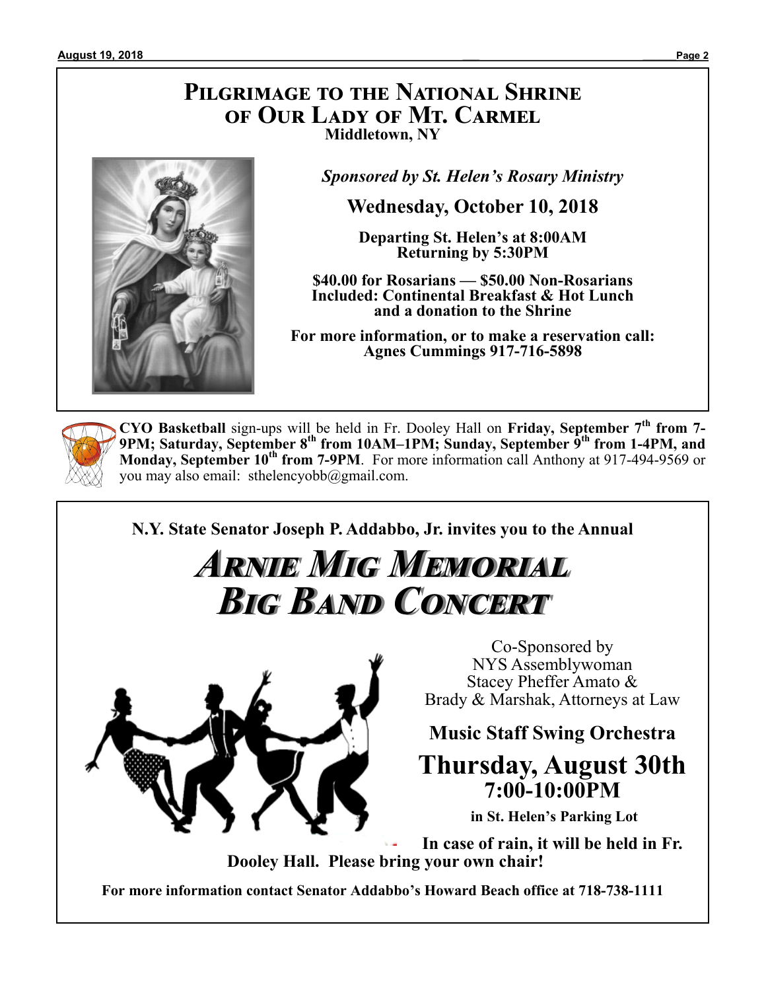## **Pilgrimage to the National Shrine of Our Lady of Mt. Carmel Middletown, NY**



*Sponsored by St. Helen's Rosary Ministry*

**Wednesday, October 10, 2018**

**Departing St. Helen's at 8:00AM Returning by 5:30PM**

**\$40.00 for Rosarians — \$50.00 Non-Rosarians Included: Continental Breakfast & Hot Lunch and a donation to the Shrine**

**For more information, or to make a reservation call: Agnes Cummings 917-716-5898**



**CYO Basketball** sign-ups will be held in Fr. Dooley Hall on **Friday, September 7th from 7- 9PM; Saturday, September 8th from 10AM–1PM; Sunday, September 9th from 1-4PM, and Monday, September 10th from 7-9PM**. For more information call Anthony at 917-494-9569 or you may also email: sthelencyobb@gmail.com.

**N.Y. State Senator Joseph P. Addabbo, Jr. invites you to the Annual**

# *Arnie Mig Memorial Big Band Concert*



Co-Sponsored by NYS Assemblywoman Stacey Pheffer Amato & Brady & Marshak, Attorneys at Law

**Music Staff Swing Orchestra**

# **Thursday, August 30th 7:00-10:00PM**

**in St. Helen's Parking Lot**

**In case of rain, it will be held in Fr. Dooley Hall. Please bring your own chair!**

**For more information contact Senator Addabbo's Howard Beach office at 718-738-1111**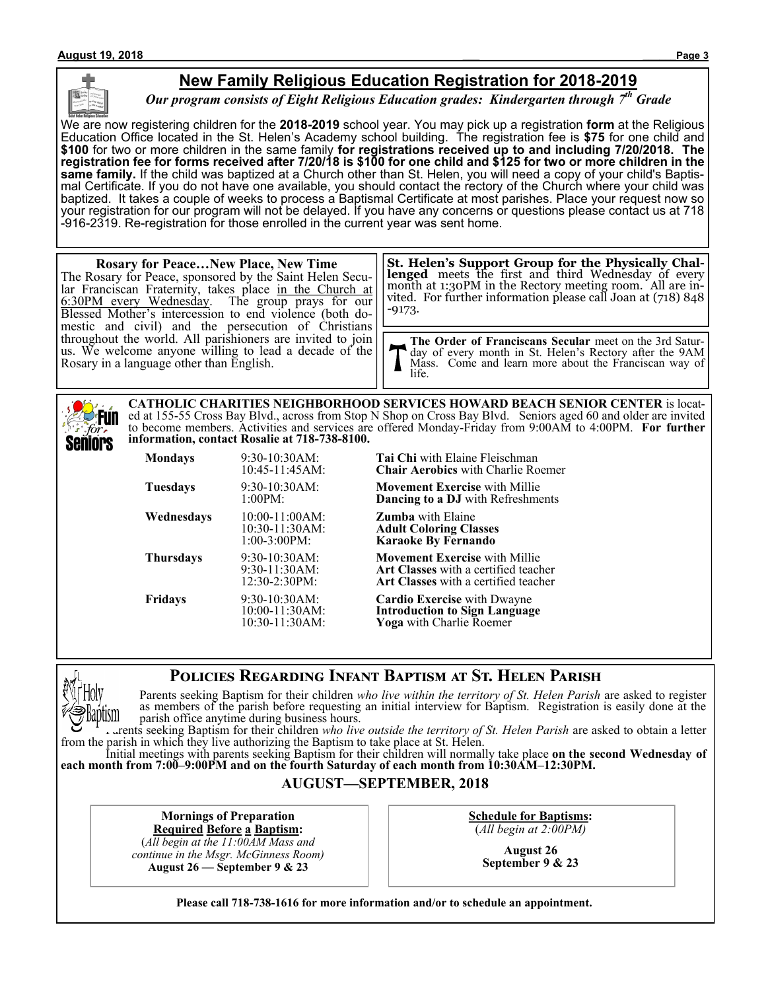#### **New Family Religious Education Registration for 2018-2019**

*Our program consists of Eight Religious Education grades: Kindergarten through 7th Grade*

We are now registering children for the **2018-2019** school year. You may pick up a registration **form** at the Religious Education Office located in the St. Helen's Academy school building. The registration fee is **\$75** for one child and **\$100** for two or more children in the same family **for registrations received up to and including 7/20/2018. The registration fee for forms received after 7/20/18 is \$100 for one child and \$125 for two or more children in the same family.** If the child was baptized at a Church other than St. Helen, you will need a copy of your child's Baptismal Certificate. If you do not have one available, you should contact the rectory of the Church where your child was baptized. It takes a couple of weeks to process a Baptismal Certificate at most parishes. Place your request now so your registration for our program will not be delayed. If you have any concerns or questions please contact us at 718 -916-2319. Re-registration for those enrolled in the current year was sent home.

#### **Rosary for Peace…New Place, New Time** The Rosary for Peace, sponsored by the Saint Helen Secular Franciscan Fraternity, takes place in the Church at 6:30PM every Wednesday. The group prays for our Blessed Mother's intercession to end violence (both domestic and civil) and the persecution of Christians throughout the world. All parishioners are invited to join us. We welcome anyone willing to lead a decade of the Rosary in a language other than English. **The Order of Franciscans Secular** meet on the 3rd Saturday of every month in St. Helen's Rectory after the 9AM Mass. Come and learn more about the Franciscan way of life. **St. Helen's Support Group for the Physically Challenged** meets the first and third Wednesday of every month at 1:30PM in the Rectory meeting room. All are invited. For further information please call Joan at (718) 848 -9173.

**CATHOLIC CHARITIES NEIGHBORHOOD SERVICES HOWARD BEACH SENIOR CENTER** is located at 155-55 Cross Bay Blvd., across from Stop N Shop on Cross Bay Blvd. Seniors aged 60 and older are invited **Fun** to become members. Activities and services are offered Monday-Friday from 9:00AM to 4:00PM. **For further information, contact Rosalie at 718-738-8100.** Seniors

| Mondays    | 9:30-10:30AM:<br>10:45-11:45AM:                           | <b>Tai Chi</b> with Elaine Fleischman<br><b>Chair Aerobics</b> with Charlie Roemer                                                 |
|------------|-----------------------------------------------------------|------------------------------------------------------------------------------------------------------------------------------------|
| Tuesdays   | $9:30-10:30AM$ :<br>1:00PM:                               | <b>Movement Exercise</b> with Millie<br><b>Dancing to a DJ</b> with Refreshments                                                   |
| Wednesdays | $10:00-11:00AM$ :<br>$10:30-11:30AM$ :<br>$1:00-3:00PM$ : | <b>Zumba</b> with Elaine<br><b>Adult Coloring Classes</b><br><b>Karaoke By Fernando</b>                                            |
| Thursdays  | 9:30-10:30AM:<br>$9:30-11:30AM$ :<br>12:30-2:30PM:        | <b>Movement Exercise</b> with Millie<br><b>Art Classes</b> with a certified teacher<br><b>Art Classes</b> with a certified teacher |
| Fridays    | 9:30-10:30AM:<br>10:00-11:30AM:<br>10:30-11:30AM:         | <b>Cardio Exercise</b> with Dwayne<br><b>Introduction to Sign Language</b><br>Yoga with Charlie Roemer                             |

### **Policies Regarding Infant Baptism at St. Helen Parish**



for.

Parents seeking Baptism for their children *who live within the territory of St. Helen Parish* are asked to register as members of the parish before requesting an initial interview for Baptism. Registration is easily done at the parish office anytime during business hours.

Parents seeking Baptism for their children *who live outside the territory of St. Helen Parish* are asked to obtain a letter from the parish in which they live authorizing the Baptism to take place at St. Helen.

Initial meetings with parents seeking Baptism for their children will normally take place **on the second Wednesday of each month from 7:00–9:00PM and on the fourth Saturday of each month from 10:30AM–12:30PM.**

#### **AUGUST—SEPTEMBER, 2018**

**Mornings of Preparation Required Before a Baptism:**

(*All begin at the 11:00AM Mass and continue in the Msgr. McGinness Room)* **August 26 — September 9 & 23**

**Schedule for Baptisms:** (*All begin at 2:00PM)*

> **August 26 September 9 & 23**

**Please call 718-738-1616 for more information and/or to schedule an appointment.**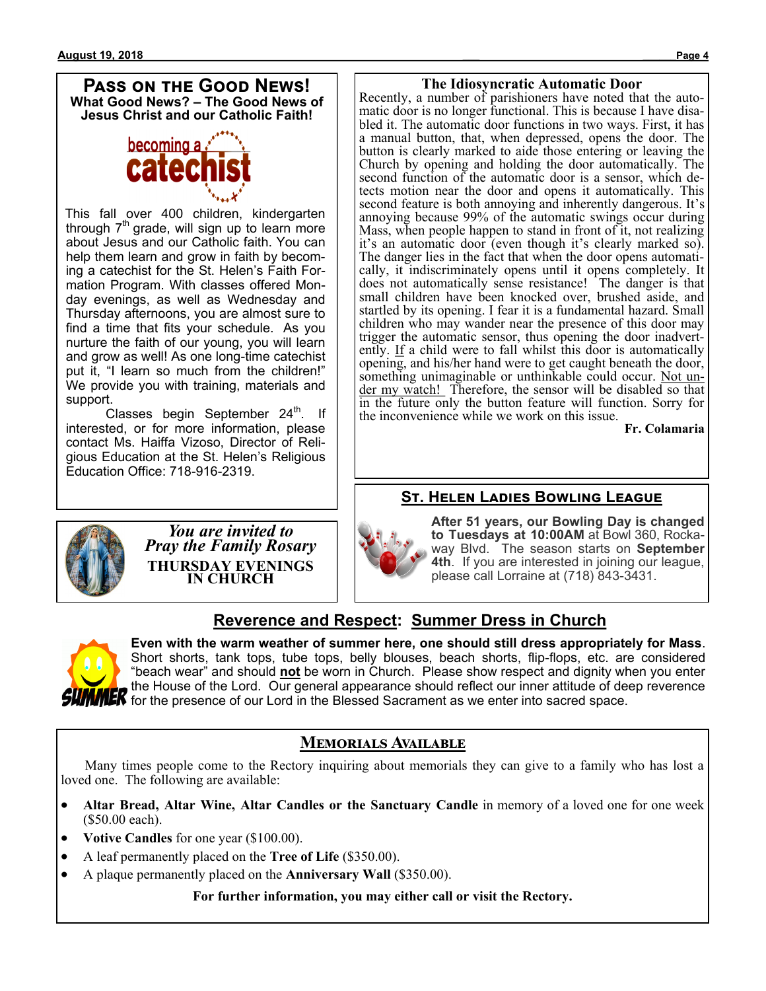#### **Pass on the Good News! What Good News? – The Good News of Jesus Christ and our Catholic Faith!**



This fall over 400 children, kindergarten through 7<sup>th</sup> grade, will sign up to learn more about Jesus and our Catholic faith. You can help them learn and grow in faith by becoming a catechist for the St. Helen's Faith Formation Program. With classes offered Monday evenings, as well as Wednesday and Thursday afternoons, you are almost sure to find a time that fits your schedule. As you nurture the faith of our young, you will learn and grow as well! As one long-time catechist put it, "I learn so much from the children!" We provide you with training, materials and support.

Classes begin September 24<sup>th</sup>. If interested, or for more information, please contact Ms. Haiffa Vizoso, Director of Religious Education at the St. Helen's Religious Education Office: 718-916-2319.



Recently, a number of parishioners have noted that the automatic door is no longer functional. This is because I have disabled it. The automatic door functions in two ways. First, it has a manual button, that, when depressed, opens the door. The button is clearly marked to aide those entering or leaving the Church by opening and holding the door automatically. The second function of the automatic door is a sensor, which detects motion near the door and opens it automatically. This second feature is both annoying and inherently dangerous. It's annoying because 99% of the automatic swings occur during Mass, when people happen to stand in front of it, not realizing it's an automatic door (even though it's clearly marked so). The danger lies in the fact that when the door opens automatically, it indiscriminately opens until it opens completely. It does not automatically sense resistance! The danger is that small children have been knocked over, brushed aside, and startled by its opening. I fear it is a fundamental hazard. Small children who may wander near the presence of this door may trigger the automatic sensor, thus opening the door inadvertently. If a child were to fall whilst this door is automatically opening, and his/her hand were to get caught beneath the door, something unimaginable or unthinkable could occur. Not under my watch! Therefore, the sensor will be disabled so that in the future only the button feature will function. Sorry for the inconvenience while we work on this issue.

**Fr. Colamaria**

#### **St. Helen Ladies Bowling League**



*You are invited to Pray the Family Rosary* **THURSDAY EVENINGS IN CHURCH**



**After 51 years, our Bowling Day is changed to Tuesdays at 10:00AM** at Bowl 360, Rockaway Blvd. The season starts on **September 4th**. If you are interested in joining our league, please call Lorraine at (718) 843-3431.

### **Reverence and Respect: Summer Dress in Church**



**Even with the warm weather of summer here, one should still dress appropriately for Mass**. Short shorts, tank tops, tube tops, belly blouses, beach shorts, flip-flops, etc. are considered "beach wear" and should **not** be worn in Church. Please show respect and dignity when you enter the House of the Lord. Our general appearance should reflect our inner attitude of deep reverence **IMMEK** for the presence of our Lord in the Blessed Sacrament as we enter into sacred space.

### **Memorials Available**

 Many times people come to the Rectory inquiring about memorials they can give to a family who has lost a loved one. The following are available:

- **Altar Bread, Altar Wine, Altar Candles or the Sanctuary Candle** in memory of a loved one for one week (\$50.00 each).
- **Votive Candles** for one year (\$100.00).
- A leaf permanently placed on the **Tree of Life** (\$350.00).
- A plaque permanently placed on the **Anniversary Wall** (\$350.00).

**For further information, you may either call or visit the Rectory.**